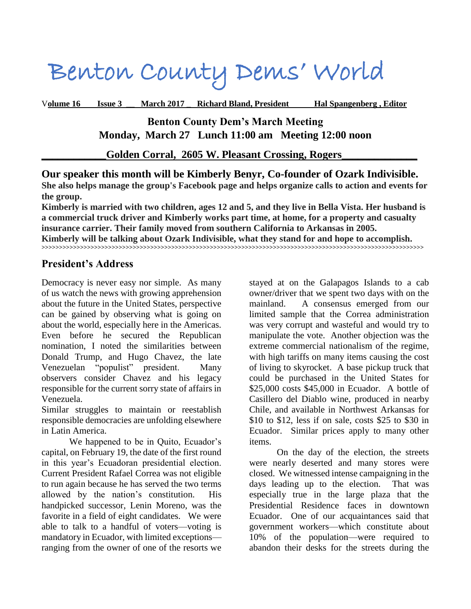# Benton County Dems' World

V**olume 16 Issue 3 \_\_ March 2017 \_ Richard Bland, President Hal Spangenberg , Editor**

**Benton County Dem's March Meeting Monday, March 27 Lunch 11:00 am Meeting 12:00 noon**

Golden Corral, 2605 W. Pleasant Crossing, Rogers

**Our speaker this month will be Kimberly Benyr, Co-founder of Ozark Indivisible. She also helps manage the group's Facebook page and helps organize calls to action and events for the group.** 

**Kimberly is married with two children, ages 12 and 5, and they live in Bella Vista. Her husband is a commercial truck driver and Kimberly works part time, at home, for a property and casualty insurance carrier. Their family moved from southern California to Arkansas in 2005. Kimberly will be talking about Ozark Indivisible, what they stand for and hope to accomplish.**

**>>>>>>>>>>>>>>>>>>>>>>>>>>>>>>>>>>>>>>>>>>>>>>>>>>>>>>>>>>>>>>>>>>>>>>>>>>>>>>>>>>>>>>>>>>>>>>>>>>>>>>>>>>>>>**

### **President's Address**

Democracy is never easy nor simple. As many of us watch the news with growing apprehension about the future in the United States, perspective can be gained by observing what is going on about the world, especially here in the Americas. Even before he secured the Republican nomination, I noted the similarities between Donald Trump, and Hugo Chavez, the late Venezuelan "populist" president. Many observers consider Chavez and his legacy responsible for the current sorry state of affairs in Venezuela.

Similar struggles to maintain or reestablish responsible democracies are unfolding elsewhere in Latin America.

We happened to be in Quito, Ecuador's capital, on February 19, the date of the first round in this year's Ecuadoran presidential election. Current President Rafael Correa was not eligible to run again because he has served the two terms allowed by the nation's constitution. His handpicked successor, Lenin Moreno, was the favorite in a field of eight candidates. We were able to talk to a handful of voters—voting is mandatory in Ecuador, with limited exceptions ranging from the owner of one of the resorts we

stayed at on the Galapagos Islands to a cab owner/driver that we spent two days with on the mainland. A consensus emerged from our limited sample that the Correa administration was very corrupt and wasteful and would try to manipulate the vote. Another objection was the extreme commercial nationalism of the regime, with high tariffs on many items causing the cost of living to skyrocket. A base pickup truck that could be purchased in the United States for \$25,000 costs \$45,000 in Ecuador. A bottle of Casillero del Diablo wine, produced in nearby Chile, and available in Northwest Arkansas for \$10 to \$12, less if on sale, costs \$25 to \$30 in Ecuador. Similar prices apply to many other items.

On the day of the election, the streets were nearly deserted and many stores were closed. We witnessed intense campaigning in the days leading up to the election. That was especially true in the large plaza that the Presidential Residence faces in downtown Ecuador. One of our acquaintances said that government workers—which constitute about 10% of the population—were required to abandon their desks for the streets during the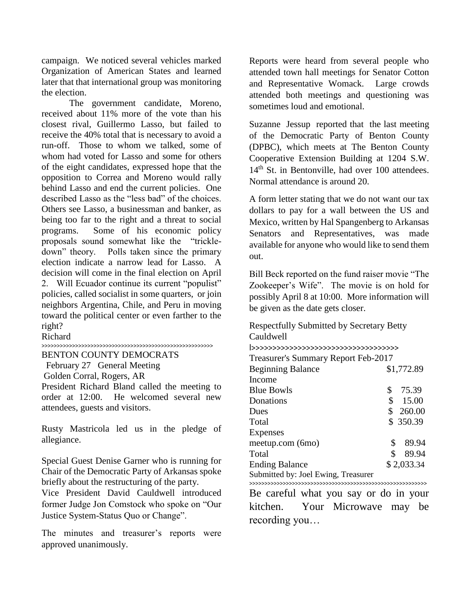campaign. We noticed several vehicles marked Organization of American States and learned later that that international group was monitoring the election.

The government candidate, Moreno, received about 11% more of the vote than his closest rival, Guillermo Lasso, but failed to receive the 40% total that is necessary to avoid a run-off. Those to whom we talked, some of whom had voted for Lasso and some for others of the eight candidates, expressed hope that the opposition to Correa and Moreno would rally behind Lasso and end the current policies. One described Lasso as the "less bad" of the choices. Others see Lasso, a businessman and banker, as being too far to the right and a threat to social programs. Some of his economic policy proposals sound somewhat like the "trickledown" theory. Polls taken since the primary election indicate a narrow lead for Lasso. A decision will come in the final election on April 2. Will Ecuador continue its current "populist" policies, called socialist in some quarters, or join neighbors Argentina, Chile, and Peru in moving toward the political center or even farther to the right?

Richard

#### >>>>>>>>>>>>>>>>>>>>>>>>>>>>>>>>>>>>>>>>>>>>>>>>>>>>>>>>

BENTON COUNTY DEMOCRATS

February 27 General Meeting

Golden Corral, Rogers, AR

President Richard Bland called the meeting to order at 12:00. He welcomed several new attendees, guests and visitors.

Rusty Mastricola led us in the pledge of allegiance.

Special Guest Denise Garner who is running for Chair of the Democratic Party of Arkansas spoke briefly about the restructuring of the party.

Vice President David Cauldwell introduced former Judge Jon Comstock who spoke on "Our Justice System-Status Quo or Change".

The minutes and treasurer's reports were approved unanimously.

Reports were heard from several people who attended town hall meetings for Senator Cotton and Representative Womack. Large crowds attended both meetings and questioning was sometimes loud and emotional.

Suzanne Jessup reported that the last meeting of the Democratic Party of Benton County (DPBC), which meets at The Benton County Cooperative Extension Building at 1204 S.W. 14<sup>th</sup> St. in Bentonville, had over 100 attendees. Normal attendance is around 20.

A form letter stating that we do not want our tax dollars to pay for a wall between the US and Mexico, written by Hal Spangenberg to Arkansas Senators and Representatives, was made available for anyone who would like to send them out.

Bill Beck reported on the fund raiser movie "The Zookeeper's Wife". The movie is on hold for possibly April 8 at 10:00. More information will be given as the date gets closer.

Respectfully Submitted by Secretary Betty Cauldwell l>>>>>>>>>>>>>>>>>>>>>>>>>>>>>>>>>>>

| Treasurer's Summary Report Feb-2017 |    |            |
|-------------------------------------|----|------------|
| <b>Beginning Balance</b>            |    | \$1,772.89 |
| Income                              |    |            |
| <b>Blue Bowls</b>                   | \$ | 75.39      |
| Donations                           | \$ | 15.00      |
| Dues                                |    | \$260.00   |
| Total                               |    | \$ 350.39  |
| <b>Expenses</b>                     |    |            |
| meetup.com (6mo)                    | \$ | 89.94      |
| Total                               | \$ | 89.94      |
| <b>Ending Balance</b>               |    | \$2,033.34 |
| Submitted by: Joel Ewing, Treasurer |    |            |
|                                     |    |            |

>>>>>>>>>>>>>>>>>>>>>>>>>>>>>>>>>>>>>>>>>>>>>>>>>>>>>>>>>> Be careful what you say or do in your kitchen. Your Microwave may be recording you…